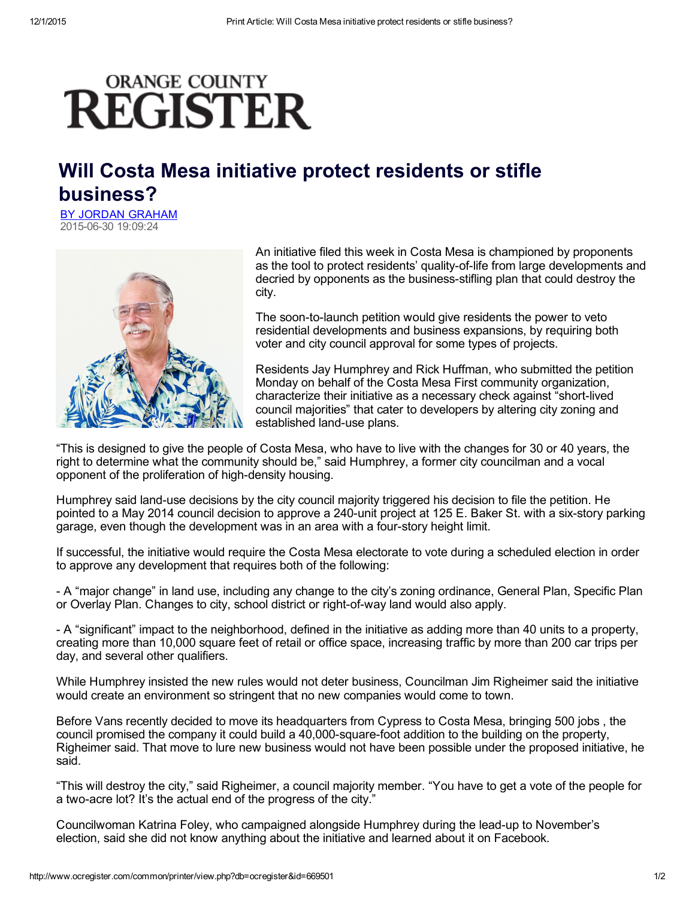## **ORANGE COUNTY REGISTER**

## Will Costa Mesa initiative protect residents or stifle business?

BY JORDAN [GRAHAM](mailto:jgraham@ocregister.com) 20150630 19:09:24



An initiative filed this week in Costa Mesa is championed by proponents as the tool to protect residents' quality-of-life from large developments and decried by opponents as the business-stifling plan that could destroy the city.

The soon-to-launch petition would give residents the power to veto residential developments and business expansions, by requiring both voter and city council approval for some types of projects.

Residents Jay Humphrey and Rick Huffman, who submitted the petition Monday on behalf of the Costa Mesa First community organization, characterize their initiative as a necessary check against "short-lived" council majorities" that cater to developers by altering city zoning and established land-use plans.

"This is designed to give the people of Costa Mesa, who have to live with the changes for 30 or 40 years, the right to determine what the community should be," said Humphrey, a former city councilman and a vocal opponent of the proliferation of high-density housing.

Humphrey said land-use decisions by the city council majority triggered his decision to file the petition. He pointed to a May 2014 council decision to approve a 240-unit project at 125 E. Baker St. with a six-story parking garage, even though the development was in an area with a fourstory height limit.

If successful, the initiative would require the Costa Mesa electorate to vote during a scheduled election in order to approve any development that requires both of the following:

 A "major change" in land use, including any change to the city's zoning ordinance, General Plan, Specific Plan or Overlay Plan. Changes to city, school district or right-of-way land would also apply.

 A "significant" impact to the neighborhood, defined in the initiative as adding more than 40 units to a property, creating more than 10,000 square feet of retail or office space, increasing traffic by more than 200 car trips per day, and several other qualifiers.

While Humphrey insisted the new rules would not deter business, Councilman Jim Righeimer said the initiative would create an environment so stringent that no new companies would come to town.

Before Vans recently decided to move its headquarters from Cypress to Costa Mesa, bringing 500 jobs , the council promised the company it could build a 40,000-square-foot addition to the building on the property, Righeimer said. That move to lure new business would not have been possible under the proposed initiative, he said.

"This will destroy the city," said Righeimer, a council majority member. "You have to get a vote of the people for a two-acre lot? It's the actual end of the progress of the city."

Councilwoman Katrina Foley, who campaigned alongside Humphrey during the lead-up to November's election, said she did not know anything about the initiative and learned about it on Facebook.